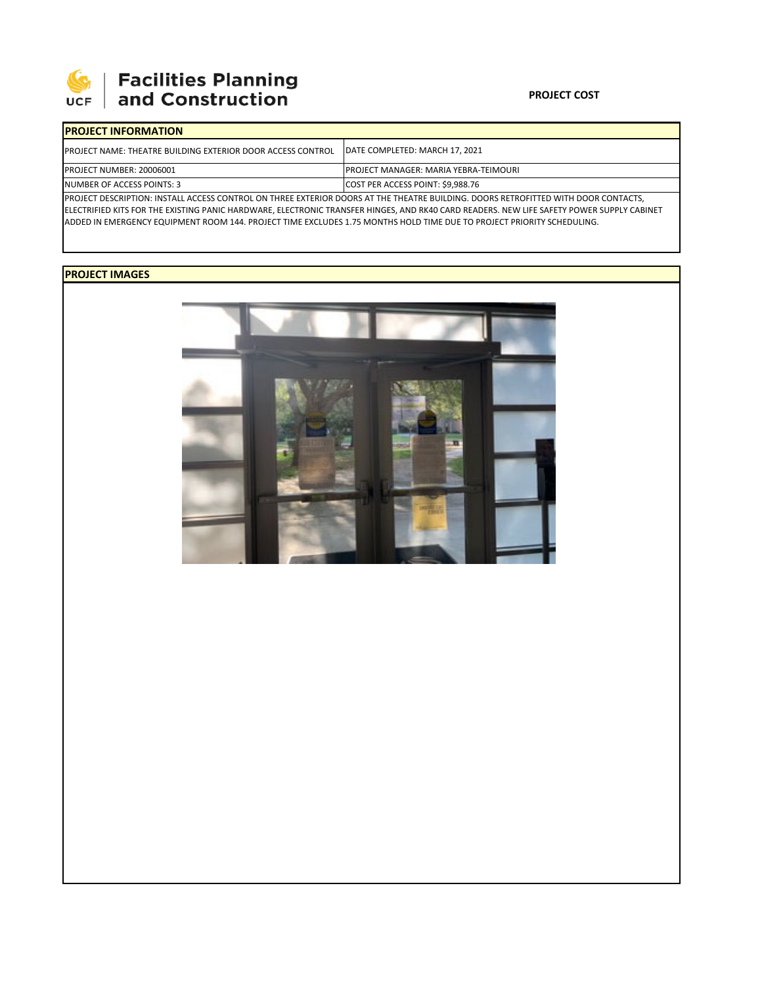

# **Facilities Planning**<br>and Construction

### **PROJECT COST**

| <b>IPROJECT INFORMATION</b>                                                                                                        |                                               |  |  |  |  |
|------------------------------------------------------------------------------------------------------------------------------------|-----------------------------------------------|--|--|--|--|
| <b>IPROJECT NAME: THEATRE BUILDING EXTERIOR DOOR ACCESS CONTROL</b>                                                                | DATE COMPLETED: MARCH 17, 2021                |  |  |  |  |
| PROJECT NUMBER: 20006001                                                                                                           | <b>IPROJECT MANAGER: MARIA YEBRA-TEIMOURI</b> |  |  |  |  |
| NUMBER OF ACCESS POINTS: 3                                                                                                         | COST PER ACCESS POINT: \$9.988.76             |  |  |  |  |
| PROJECT DESCRIPTION: INSTALL ACCESS CONTROL ON THREE EXTERIOR DOORS AT THE THEATRE BUILDING. DOORS RETROFITTED WITH DOOR CONTACTS, |                                               |  |  |  |  |

ELECTRIFIED KITS FOR THE EXISTING PANIC HARDWARE, ELECTRONIC TRANSFER HINGES, AND RK40 CARD READERS. NEW LIFE SAFETY POWER SUPPLY CABINET ADDED IN EMERGENCY EQUIPMENT ROOM 144. PROJECT TIME EXCLUDES 1.75 MONTHS HOLD TIME DUE TO PROJECT PRIORITY SCHEDULING.

## **PROJECT IMAGES**